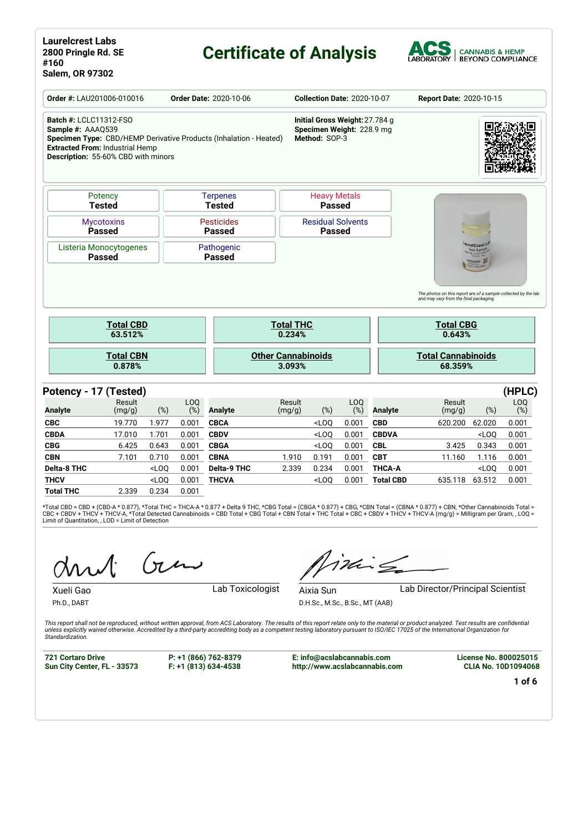# **Certificate of Analysis**



|                                                    | Order #: LAU201006-010016                                                                                                                          |       |            | <b>Order Date: 2020-10-06</b>      |                           |                            | <b>Collection Date: 2020-10-07</b>                                           |            |                | Report Date: 2020-10-15                                                                                  |                                        |            |
|----------------------------------------------------|----------------------------------------------------------------------------------------------------------------------------------------------------|-------|------------|------------------------------------|---------------------------|----------------------------|------------------------------------------------------------------------------|------------|----------------|----------------------------------------------------------------------------------------------------------|----------------------------------------|------------|
| <b>Batch #: LCLC11312-FSO</b><br>Sample #: AAAQ539 | Specimen Type: CBD/HEMP Derivative Products (Inhalation - Heated)<br><b>Extracted From: Industrial Hemp</b><br>Description: 55-60% CBD with minors |       |            |                                    |                           |                            | Initial Gross Weight: 27.784 g<br>Specimen Weight: 228.9 mg<br>Method: SOP-3 |            |                |                                                                                                          |                                        |            |
|                                                    | Potency<br><b>Tested</b>                                                                                                                           |       |            | <b>Terpenes</b><br><b>Tested</b>   |                           |                            | <b>Heavy Metals</b><br><b>Passed</b>                                         |            |                |                                                                                                          |                                        |            |
|                                                    | <b>Mycotoxins</b><br><b>Passed</b>                                                                                                                 |       |            | <b>Pesticides</b><br><b>Passed</b> |                           |                            | <b>Residual Solvents</b><br><b>Passed</b>                                    |            |                |                                                                                                          |                                        |            |
|                                                    | Listeria Monocytogenes<br><b>Passed</b>                                                                                                            |       |            | Pathogenic<br><b>Passed</b>        |                           |                            |                                                                              |            |                |                                                                                                          | <b>IrelCrest</b><br>est Saml<br>AAG539 |            |
|                                                    |                                                                                                                                                    |       |            |                                    |                           |                            |                                                                              |            |                | The photos on this report are of a sample collected by the lab<br>and may vary from the final packaging. |                                        |            |
|                                                    | <b>Total CBD</b><br>63.512%                                                                                                                        |       |            |                                    |                           | <b>Total THC</b><br>0.234% |                                                                              |            |                | <b>Total CBG</b><br>0.643%                                                                               |                                        |            |
|                                                    | <b>Total CBN</b><br>0.878%                                                                                                                         |       |            |                                    | <b>Other Cannabinoids</b> | 3.093%                     |                                                                              |            |                | <b>Total Cannabinoids</b><br>68.359%                                                                     |                                        |            |
|                                                    | Potency - 17 (Tested)                                                                                                                              |       |            |                                    |                           |                            |                                                                              |            |                |                                                                                                          |                                        | (HPLC)     |
| <b>Analyte</b>                                     | Result<br>(mg/g)                                                                                                                                   | (%)   | LOQ<br>(%) | <b>Analyte</b>                     |                           | Result<br>(mg/g)           | (%)                                                                          | LOQ<br>(%) | <b>Analyte</b> | Result<br>(mg/g)                                                                                         | (%)                                    | LOQ<br>(%) |
| <b>CBC</b>                                         | 19.770                                                                                                                                             | 1.977 | 0.001      | <b>CBCA</b>                        |                           |                            | $<$ LOQ                                                                      | 0.001      | <b>CBD</b>     | 620.200                                                                                                  | 62.020                                 | 0.001      |
| <b>CBDA</b>                                        | 17.010                                                                                                                                             | 1.701 | 0.001      | <b>CBDV</b>                        |                           |                            | $<$ LOQ                                                                      | 0.001      | <b>CBDVA</b>   |                                                                                                          | $<$ LOQ                                | 0.001      |
| <b>CBG</b>                                         | 6.425                                                                                                                                              | 0.643 | 0.001      | <b>CBGA</b>                        |                           |                            | $<$ LOQ                                                                      | 0.001      | <b>CBL</b>     | 3.425                                                                                                    | 0.343                                  | 0.001      |
| <b>CBN</b>                                         | 7.101                                                                                                                                              | 0.710 | 0.001      | <b>CBNA</b>                        |                           | 1.910                      | 0.191                                                                        | 0.001      | <b>CBT</b>     | 11.160                                                                                                   | 1.116                                  | 0.001      |

\*Total CBD = CBD + (CBD-A \* 0.877), \*Total THC = THCA-A \* 0.877 + Delta 9 THC, \*CBG Total = (CBGA \* 0.877) + CBG, \*CBN Total = (CBNA \* 0.877) + CBN, \*Other Cannabinoids Total =<br>CBC + CBDV + THCV + THCV-A, \*Total Detected C Limit of Quantitation, , LOD = Limit of Detection

**Delta-8 THC** <LOQ 0.001 **Delta-9 THC** 2.339 0.234 0.001 **THCA-A** <LOQ 0.001 **THCV** <LOQ 0.001 **THCVA** <LOQ 0.001 **Total CBD** 635.118 63.512 0.001

 $(n)$ 

**Total THC** 2.339 0.234 0.001

Xueli Gao **Lab Toxicologist** 

Ph.D., DABT

Aixia Sun Lab Director/Principal Scientist

 $i$ ding

D.H.Sc., M.Sc., B.Sc., MT (AAB)

This report shall not be reproduced, without written approval, from ACS Laboratory. The results of this report relate only to the material or product analyzed. Test results are confidential<br>unless explicitly waived otherwi *Standardization.*

**721 Cortaro Drive Sun City Center, FL - 33573**

**P: +1 (866) 762-8379 F: +1 (813) 634-4538**

**E: info@acslabcannabis.com http://www.acslabcannabis.com** **License No. 800025015 CLIA No. 10D1094068**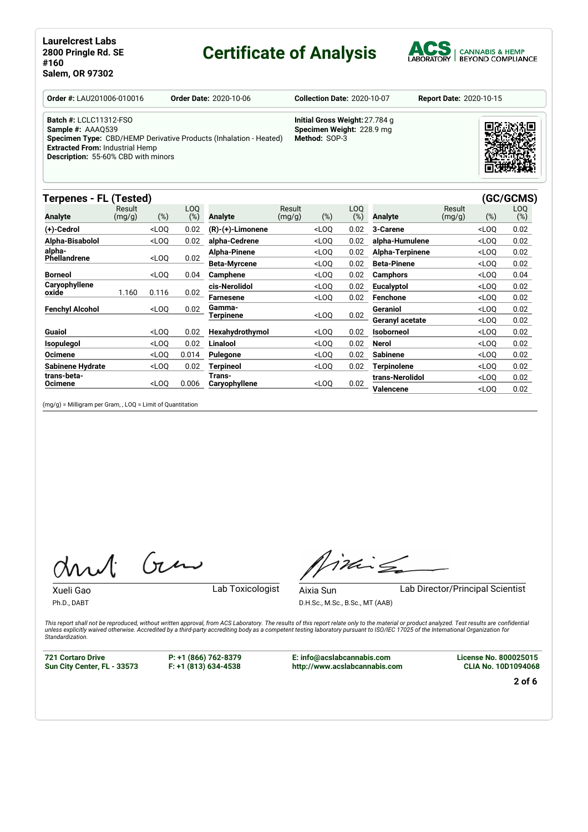# **Certificate of Analysis**



**Order #:** LAU201006-010016 **Order Date:** 2020-10-06 **Collection Date:** 2020-10-07 **Report Date:** 2020-10-15

**Initial Gross Weight:**27.784 g **Specimen Weight:** 228.9 mg

**Method:** SOP-3

**Batch #:** LCLC11312-FSO

**Sample #:** AAAQ539 **Specimen Type:** CBD/HEMP Derivative Products (Inhalation - Heated) **Extracted From:** Industrial Hemp **Description:** 55-60% CBD with minors

## **Terpenes - FL (Tested) (GC/GCMS)**

| --------                      | <u>.</u>         |         |               |                     |                  |                                                                                                               |            |                    |                  |                                  | -,            |
|-------------------------------|------------------|---------|---------------|---------------------|------------------|---------------------------------------------------------------------------------------------------------------|------------|--------------------|------------------|----------------------------------|---------------|
| <b>Analyte</b>                | Result<br>(mg/g) | $(\%)$  | LOQ<br>$(\%)$ | <b>Analyte</b>      | Result<br>(mg/g) | $(\%)$                                                                                                        | LOQ<br>(%) | <b>Analyte</b>     | Result<br>(mg/g) | (%)                              | LOQ<br>$(\%)$ |
| (+)-Cedrol                    |                  | $<$ LOQ | 0.02          | (R)-(+)-Limonene    |                  | $<$ LOQ                                                                                                       | 0.02       | 3-Carene           |                  | $<$ LOQ                          | 0.02          |
| Alpha-Bisabolol               |                  | $<$ LOO | 0.02          | alpha-Cedrene       |                  | $<$ LOQ                                                                                                       | 0.02       | alpha-Humulene     |                  | $<$ LOQ                          | 0.02          |
| alpha-<br><b>Phellandrene</b> |                  | $<$ LOO | 0.02          | Alpha-Pinene        |                  | $<$ LOQ                                                                                                       | 0.02       | Alpha-Terpinene    |                  | $<$ LOQ                          | 0.02          |
|                               |                  |         |               | <b>Beta-Myrcene</b> |                  | <loq< td=""><td>0.02</td><th><b>Beta-Pinene</b></th><td></td><td><loq< td=""><td>0.02</td></loq<></td></loq<> | 0.02       | <b>Beta-Pinene</b> |                  | <loq< td=""><td>0.02</td></loq<> | 0.02          |
| <b>Borneol</b>                |                  | $<$ LOO | 0.04          | <b>Camphene</b>     |                  | <loq< td=""><td>0.02</td><th><b>Camphors</b></th><td></td><td><loo< td=""><td>0.04</td></loo<></td></loq<>    | 0.02       | <b>Camphors</b>    |                  | <loo< td=""><td>0.04</td></loo<> | 0.04          |
| Caryophyllene<br>oxide        | 1.160            | 0.116   | 0.02          | cis-Nerolidol       |                  | $<$ LOQ                                                                                                       | 0.02       | Eucalyptol         |                  | $<$ LOQ                          | 0.02          |
|                               |                  |         |               | Farnesene           |                  | $<$ LOO                                                                                                       | 0.02       | Fenchone           |                  | $<$ LOQ                          | 0.02          |
| <b>Fenchyl Alcohol</b>        |                  | $<$ LOO | 0.02          | Gamma-              |                  | $<$ LOO                                                                                                       | 0.02       | <b>Geraniol</b>    |                  | $<$ LOO                          | 0.02          |
|                               |                  |         |               | Terpinene           |                  |                                                                                                               |            | Geranyl acetate    |                  | $<$ LOO                          | 0.02          |
| Guaiol                        |                  | $<$ LOO | 0.02          | Hexahydrothymol     |                  | $<$ LOO                                                                                                       | 0.02       | <b>Isoborneol</b>  |                  | <loq< td=""><td>0.02</td></loq<> | 0.02          |
| <b>Isopulegol</b>             |                  | $<$ LOQ | 0.02          | Linalool            |                  | $<$ LOQ                                                                                                       | 0.02       | <b>Nerol</b>       |                  | $<$ LOQ                          | 0.02          |
| <b>Ocimene</b>                |                  | $<$ LOQ | 0.014         | Pulegone            |                  | $<$ LOQ                                                                                                       | 0.02       | <b>Sabinene</b>    |                  | $<$ LOQ                          | 0.02          |
| <b>Sabinene Hydrate</b>       |                  | $<$ LOO | 0.02          | Terpineol           |                  | $<$ LOO                                                                                                       | 0.02       | Terpinolene        |                  | $<$ LOO                          | 0.02          |
| trans-beta-                   |                  |         |               | Trans-              |                  |                                                                                                               |            | trans-Nerolidol    |                  | $<$ LOQ                          | 0.02          |
| <b>Ocimene</b>                |                  | $<$ LOQ | 0.006         | Caryophyllene       |                  | $<$ LOO                                                                                                       | 0.02       | <b>Valencene</b>   |                  | $<$ LOO                          | 0.02          |
|                               |                  |         |               |                     |                  |                                                                                                               |            |                    |                  |                                  |               |

(mg/g) = Milligram per Gram, , LOQ = Limit of Quantitation

Gen

Xueli Gao **Lab Toxicologist** 

Ph.D., DABT

Aixia Sun Lab Director/Principal Scientist

D.H.Sc., M.Sc., B.Sc., MT (AAB)

Timile

This report shall not be reproduced, without written approval, from ACS Laboratory. The results of this report relate only to the material or product analyzed. Test results are confidential<br>unless explicitly waived otherwi *Standardization.*

**721 Cortaro Drive Sun City Center, FL - 33573** **P: +1 (866) 762-8379 F: +1 (813) 634-4538**

**E: info@acslabcannabis.com http://www.acslabcannabis.com** **License No. 800025015 CLIA No. 10D1094068**

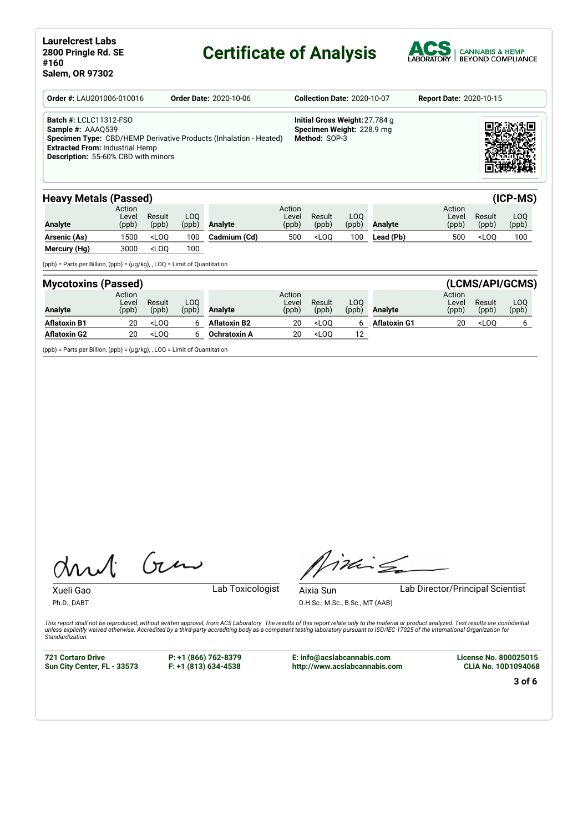# **Certificate of Analysis**



| <b>Order #: LAU201006-010016</b>                                                                                                           | <b>Order Date: 2020-10-06</b>                                     | <b>Collection Date: 2020-10-07</b>                                           | <b>Report Date: 2020-10-15</b> |
|--------------------------------------------------------------------------------------------------------------------------------------------|-------------------------------------------------------------------|------------------------------------------------------------------------------|--------------------------------|
| <b>Batch #: LCLC11312-FSO</b><br>Sample #: AAA0539<br><b>Extracted From: Industrial Hemp</b><br><b>Description: 55-60% CBD with minors</b> | Specimen Type: CBD/HEMP Derivative Products (Inhalation - Heated) | Initial Gross Weight: 27.784 g<br>Specimen Weight: 228.9 mg<br>Method: SOP-3 |                                |

### **Heavy Metals (Passed) (ICP-MS)**

| -------------- | $\sim$ $\sim$ $\sim$ $\sim$ $\sim$ $\sim$ |                 |              |              |                          |                 |               |           |                          |                                 | .            |
|----------------|-------------------------------------------|-----------------|--------------|--------------|--------------------------|-----------------|---------------|-----------|--------------------------|---------------------------------|--------------|
| <b>Analyte</b> | Action<br>Level<br>(ppb)                  | Result<br>(ppb) | LOO<br>(ppb) | Analyte      | Action<br>Level<br>(ppb) | Result<br>(ppb) | LOO.<br>(ppb) | Analyte   | Action<br>Level<br>(ppb) | Result<br>(ppb)                 | LOO<br>(ppb) |
| Arsenic (As)   | 500                                       | $<$ LOO         | 100          | Cadmium (Cd) | 500                      | $<$ LOO         | 100           | Lead (Pb) | 500                      | <loo< th=""><th>100</th></loo<> | 100          |
| Mercury (Hg)   | 3000                                      | $<$ LOO         | 100          |              |                          |                 |               |           |                          |                                 |              |

(ppb) = Parts per Billion, (ppb) = (µg/kg), , LOQ = Limit of Quantitation

| <b>Mycotoxins (Passed)</b> |                          |                 |              |                     |                          |                 |               |                     |                          |                 | (LCMS/API/GCMS) |
|----------------------------|--------------------------|-----------------|--------------|---------------------|--------------------------|-----------------|---------------|---------------------|--------------------------|-----------------|-----------------|
| <b>Analyte</b>             | Action<br>Level<br>(ppb) | Result<br>(ppb) | LOO<br>(ppb) | Analyte             | Action<br>Level<br>(ppb) | Result<br>(ppb) | LOQ.<br>(ppb) | <b>Analyte</b>      | Action<br>Level<br>(ppb) | Result<br>(ppb) | LOQ<br>(ppb)    |
| <b>Aflatoxin B1</b>        | 20                       | $<$ LOO         |              | <b>Aflatoxin B2</b> | 20                       | $<$ LOO         |               | <b>Aflatoxin G1</b> | 20                       | $<$ LOO         |                 |
| <b>Aflatoxin G2</b>        | 20                       | $<$ LOO         |              | Ochratoxin A        | 20                       | $<$ LOO         | 12            |                     |                          |                 |                 |

(ppb) = Parts per Billion, (ppb) = (µg/kg), , LOQ = Limit of Quantitation

Gen

Xueli Gao **Lab Toxicologist** 

Ph.D., DABT

Aixia Sun Lab Director/Principal Scientist

D.H.Sc., M.Sc., B.Sc., MT (AAB)

This report shall not be reproduced, without written approval, from ACS Laboratory. The results of this report relate only to the material or product analyzed. Test results are confidential<br>unless explicitly waived otherwi *Standardization.*

**721 Cortaro Drive Sun City Center, FL - 33573** **P: +1 (866) 762-8379 F: +1 (813) 634-4538**

**E: info@acslabcannabis.com http://www.acslabcannabis.com**

This

**License No. 800025015 CLIA No. 10D1094068**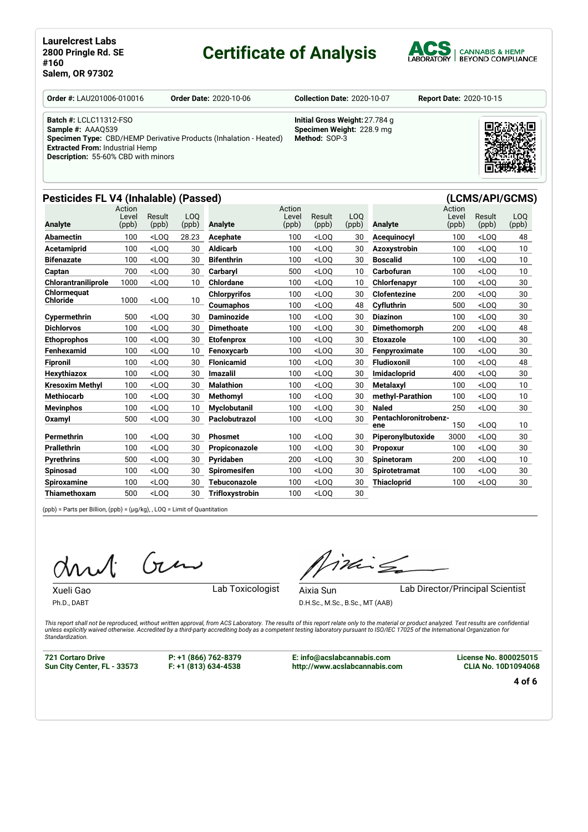# **Certificate of Analysis**

Active Contractor



**Order #:** LAU201006-010016 **Order Date:** 2020-10-06 **Collection Date:** 2020-10-07 **Report Date:** 2020-10-15

**Extracted From:** Industrial Hemp **Description:** 55-60% CBD with minors

**Batch #:** LCLC11312-FSO **Sample #:** AAAQ539 **Specimen Type:** CBD/HEMP Derivative Products (Inhalation - Heated)

**Initial Gross Weight:**27.784 g **Specimen Weight:** 228.9 mg **Method:** SOP-3



# **Pesticides FL V4 (Inhalable) (Passed) (LCMS/API/GCMS)**

| Analyte                    | Action<br>Level | Result  | L <sub>O</sub> O | <b>Analyte</b>      | Action<br>Level | Result  | LO <sub>O</sub> | <b>Analyte</b>        | Action<br>Level | Result  | LOO             |
|----------------------------|-----------------|---------|------------------|---------------------|-----------------|---------|-----------------|-----------------------|-----------------|---------|-----------------|
|                            | (ppb)           | (ppb)   | (ppb)            |                     | (ppb)           | (ppb)   | (ppb)           |                       | (ppb)           | (ppb)   | (ppb)           |
| Abamectin                  | 100             | $<$ LOO | 28.23            | Acephate            | 100             | $<$ LOO | 30              | Acequinocyl           | 100             | $<$ LOO | 48              |
| Acetamiprid                | 100             | $<$ LOO | 30               | <b>Aldicarb</b>     | 100             | $<$ LOO | 30              | <b>Azoxystrobin</b>   | 100             | $<$ LOO | 10 <sup>1</sup> |
| <b>Bifenazate</b>          | 100             | $<$ LOO | 30               | <b>Bifenthrin</b>   | 100             | $<$ LOO | 30              | <b>Boscalid</b>       | 100             | $<$ LOO | 10 <sup>1</sup> |
| Captan                     | 700             | $<$ LOO | 30               | Carbarvl            | 500             | $<$ LOO | 10              | Carbofuran            | 100             | $<$ LOO | 10 <sup>°</sup> |
| <b>Chlorantraniliprole</b> | 1000            | $<$ LOO | 10               | <b>Chlordane</b>    | 100             | $<$ LOO | 10              | Chlorfenapyr          | 100             | $<$ LOO | 30              |
| Chlormeauat                |                 |         |                  | <b>Chlorpyrifos</b> | 100             | $<$ LOO | 30              | <b>Clofentezine</b>   | 200             | $<$ LOO | 30              |
| Chloride                   | 1000            | $<$ LOQ | 10               | Coumaphos           | 100             | $<$ LOO | 48              | Cyfluthrin            | 500             | $<$ LOO | 30              |
| Cypermethrin               | 500             | $<$ LOO | 30               | <b>Daminozide</b>   | 100             | $<$ LOO | 30              | <b>Diazinon</b>       | 100             | $<$ LOO | 30              |
| <b>Dichlorvos</b>          | 100             | $<$ LOO | 30               | <b>Dimethoate</b>   | 100             | $<$ LOO | 30              | Dimethomorph          | 200             | $<$ LOO | 48              |
| <b>Ethoprophos</b>         | 100             | $<$ LOO | 30               | Etofenprox          | 100             | $<$ LOO | 30              | <b>Etoxazole</b>      | 100             | $<$ LOO | 30              |
| Fenhexamid                 | 100             | $<$ LOO | 10               | Fenoxycarb          | 100             | $<$ LOO | 30              | Fenpyroximate         | 100             | $<$ LOO | 30              |
| <b>Fipronil</b>            | 100             | $<$ LOO | 30               | <b>Flonicamid</b>   | 100             | $<$ LOO | 30              | <b>Fludioxonil</b>    | 100             | $<$ LOO | 48              |
| Hexythiazox                | 100             | $<$ LOO | 30               | Imazalil            | 100             | $<$ LOO | 30              | <b>Imidacloprid</b>   | 400             | $<$ LOO | 30              |
| <b>Kresoxim Methyl</b>     | 100             | $<$ LOO | 30               | <b>Malathion</b>    | 100             | $<$ LOO | 30              | <b>Metalaxyl</b>      | 100             | $<$ LOO | 10 <sup>1</sup> |
| <b>Methiocarb</b>          | 100             | $<$ LOO | 30               | <b>Methomvl</b>     | 100             | $<$ LOO | 30              | methyl-Parathion      | 100             | $<$ LOO | 10 <sup>1</sup> |
| <b>Mevinphos</b>           | 100             | $<$ LOO | 10               | <b>Myclobutanil</b> | 100             | $<$ LOO | 30              | <b>Naled</b>          | 250             | $<$ LOO | 30              |
| <b>Oxamvl</b>              | 500             | $<$ LOO | 30               | Paclobutrazol       | 100             | $<$ LOO | 30              | Pentachloronitrobenz- |                 |         |                 |
|                            |                 |         |                  |                     |                 |         |                 | ene                   | 150             | $<$ LOO | 10              |
| Permethrin                 | 100             | $<$ LOO | 30               | <b>Phosmet</b>      | 100             | $<$ LOO | 30              | Piperonylbutoxide     | 3000            | $<$ LOO | 30              |
| <b>Prallethrin</b>         | 100             | $<$ LOO | 30               | Propiconazole       | 100             | $<$ LOQ | 30              | <b>Propoxur</b>       | 100             | $<$ LOO | 30              |
| <b>Pyrethrins</b>          | 500             | $<$ LOO | 30               | Pyridaben           | 200             | $<$ LOQ | 30              | Spinetoram            | 200             | $<$ LOQ | 10              |
| Spinosad                   | 100             | $<$ LOO | 30               | <b>Spiromesifen</b> | 100             | $<$ LOO | 30              | <b>Spirotetramat</b>  | 100             | $<$ LOO | 30              |
| <b>Spiroxamine</b>         | 100             | $<$ LOO | 30               | Tebuconazole        | 100             | $<$ LOO | 30              | <b>Thiacloprid</b>    | 100             | $<$ LOQ | 30              |
| Thiamethoxam               | 500             | $<$ LOO | 30               | Trifloxystrobin     | 100             | $<$ LOO | 30              |                       |                 |         |                 |

(ppb) = Parts per Billion, (ppb) = (µg/kg), , LOQ = Limit of Quantitation

Gen

Xueli Gao **Lab Toxicologist** 

Ph.D., DABT

Aixia Sun Lab Director/Principal Scientist

inis

D.H.Sc., M.Sc., B.Sc., MT (AAB)

This report shall not be reproduced, without written approval, from ACS Laboratory. The results of this report relate only to the material or product analyzed. Test results are confidential<br>unless explicitly waived otherwi *Standardization.*

**721 Cortaro Drive Sun City Center, FL - 33573** **P: +1 (866) 762-8379 F: +1 (813) 634-4538**

**E: info@acslabcannabis.com http://www.acslabcannabis.com** **License No. 800025015 CLIA No. 10D1094068**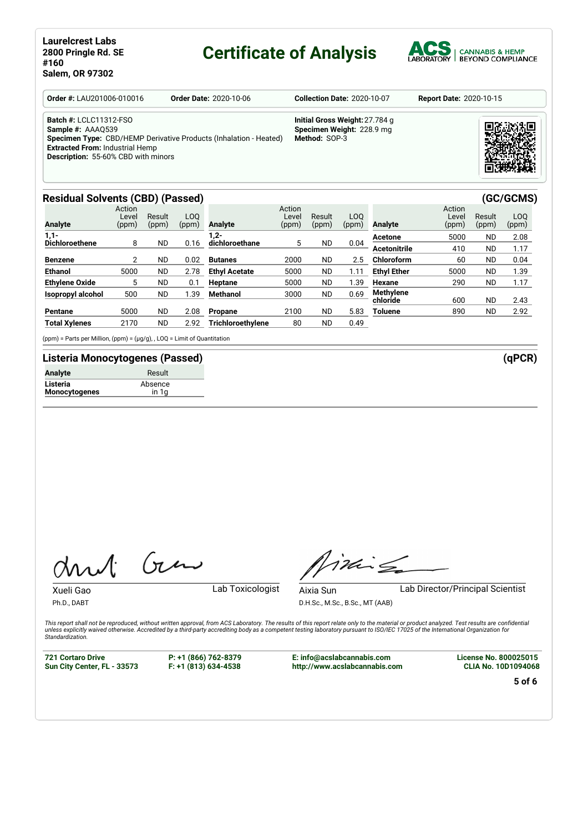# **Certificate of Analysis**



| <b>Order #: LAU201006-010016</b>                                                                                                           | <b>Order Date: 2020-10-06</b>                                     | <b>Collection Date: 2020-10-07</b>                                           | <b>Report Date: 2020-10-15</b> |
|--------------------------------------------------------------------------------------------------------------------------------------------|-------------------------------------------------------------------|------------------------------------------------------------------------------|--------------------------------|
| <b>Batch #: LCLC11312-FSO</b><br>Sample #: AAAQ539<br><b>Extracted From: Industrial Hemp</b><br><b>Description: 55-60% CBD with minors</b> | Specimen Type: CBD/HEMP Derivative Products (Inhalation - Heated) | Initial Gross Weight: 27.784 g<br>Specimen Weight: 228.9 mg<br>Method: SOP-3 |                                |

### **Residual Solvents (CBD) (Passed) (GC/GCMS)**

| <b>Analyte</b>           | Action<br>Level<br>(ppm) | Result<br>(ppm) | LOO<br>(ppm) | <b>Analyte</b>       | Action<br>Level<br>(ppm) | Result<br>(ppm) | LO <sub>0</sub><br>(ppm) | Analyte             | Action<br>Level<br>(ppm) | Result<br>(ppm) | LO <sub>0</sub><br>(ppm) |
|--------------------------|--------------------------|-----------------|--------------|----------------------|--------------------------|-----------------|--------------------------|---------------------|--------------------------|-----------------|--------------------------|
| $1,1-$                   |                          |                 |              | $1,2-$               |                          |                 |                          | Acetone             | 5000                     | <b>ND</b>       | 2.08                     |
| <b>Dichloroethene</b>    | 8                        | ND              | 0.16         | dichloroethane       | 5                        | <b>ND</b>       | 0.04                     | <b>Acetonitrile</b> | 410                      | <b>ND</b>       | 1.17                     |
| <b>Benzene</b>           | 2                        | ND              | 0.02         | <b>Butanes</b>       | 2000                     | <b>ND</b>       | 2.5                      | Chloroform          | 60                       | <b>ND</b>       | 0.04                     |
| <b>Ethanol</b>           | 5000                     | <b>ND</b>       | 2.78         | <b>Ethyl Acetate</b> | 5000                     | <b>ND</b>       | 1.11                     | <b>Ethyl Ether</b>  | 5000                     | <b>ND</b>       | 1.39                     |
| <b>Ethylene Oxide</b>    | 5                        | ND              | 0.1          | <b>Heptane</b>       | 5000                     | <b>ND</b>       | .39                      | Hexane              | 290                      | <b>ND</b>       | 1.17                     |
| <b>Isopropyl alcohol</b> | 500                      | <b>ND</b>       | 1.39         | Methanol             | 3000                     | <b>ND</b>       | 0.69                     | <b>Methylene</b>    |                          |                 |                          |
|                          |                          |                 |              |                      |                          |                 |                          | chloride            | 600                      | <b>ND</b>       | 2.43                     |
| Pentane                  | 5000                     | ND.             | 2.08         | Propane              | 2100                     | <b>ND</b>       | 5.83                     | <b>Toluene</b>      | 890                      | <b>ND</b>       | 2.92                     |
| <b>Total Xylenes</b>     | 2170                     | <b>ND</b>       | 2.92         | Trichloroethylene    | 80                       | <b>ND</b>       | 0.49                     |                     |                          |                 |                          |

(ppm) = Parts per Million, (ppm) = (µg/g), , LOQ = Limit of Quantitation

### **Listeria Monocytogenes (Passed) (qPCR)**

| Analyte                   | Result           |
|---------------------------|------------------|
| Listeria<br>Monocytogenes | Absence<br>in 1a |
|                           |                  |

Gen

Timing

Ph.D., DABT

Xueli Gao **Lab Toxicologist** 

Aixia Sun Lab Director/Principal Scientist

D.H.Sc., M.Sc., B.Sc., MT (AAB)

This report shall not be reproduced, without written approval, from ACS Laboratory. The results of this report relate only to the material or product analyzed. Test results are confidential<br>unless explicitly waived otherwi *Standardization.*

**721 Cortaro Drive Sun City Center, FL - 33573**

**P: +1 (866) 762-8379 F: +1 (813) 634-4538**

**E: info@acslabcannabis.com http://www.acslabcannabis.com** **License No. 800025015 CLIA No. 10D1094068**